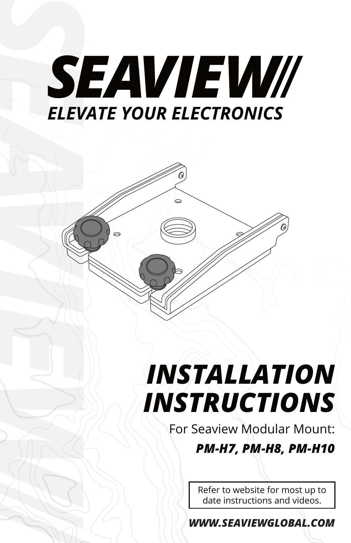



## *INSTALLATION INSTRUCTIONS*

For Seaview Modular Mount: *PM-H7, PM-H8, PM-H10*

> Refer to website for most up to date instructions and videos.

*WWW.SEAVIEWGLOBAL.COM*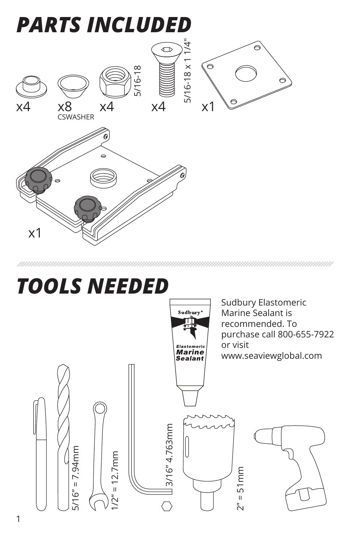

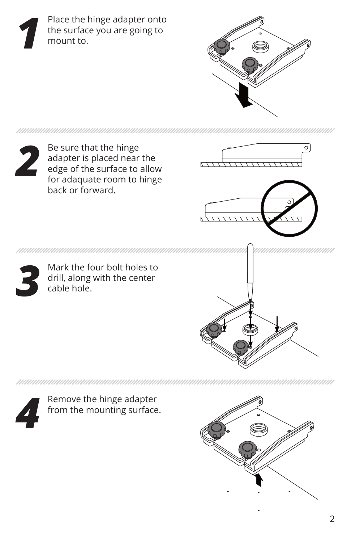Place the hinge adapter onto the surface you are going to mount to. *1*





Be sure that the hinge adapter is placed near the edge of the surface to allow for adaquate room to hinge back or forward.







Mark the four bolt holes to drill, along with the center cable hole.





Remove the hinge adapter from the mounting surface.

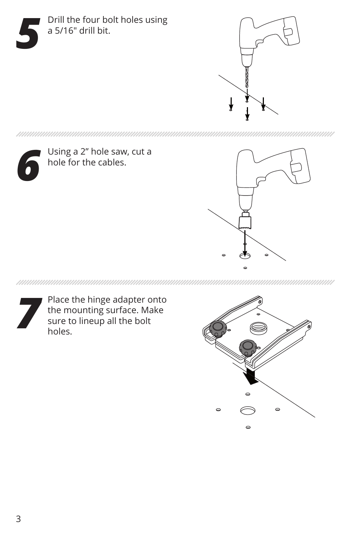





Using a 2" hole saw, cut a hole for the cables.



Place the hinge adapter onto the mounting surface. Make Place the hinge adapter of the mounting surface. Masure to lineup all the bolt holes.

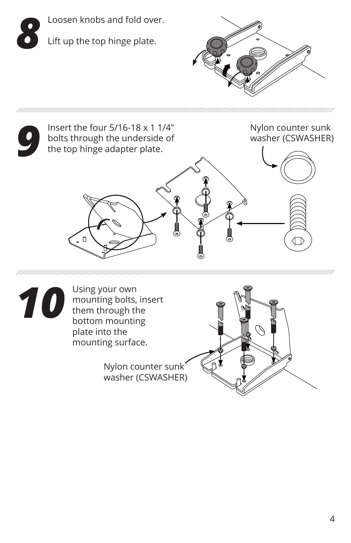





Using your own o you own<br>mounting bolts, insert<br>them these them through the bottom mounting plate into the mounting surface.

> Nylon counter sunk washer (CSWASHER)

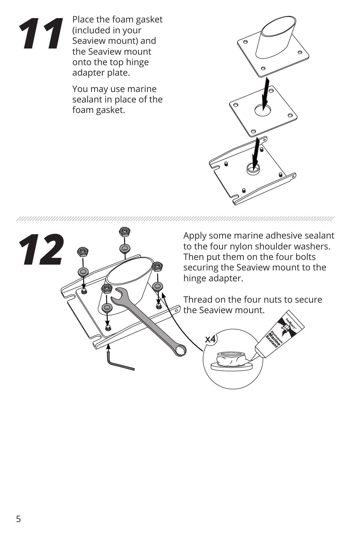

Place the foam gasket (included in your Seaview mount) and the Seaview mount onto the top hinge adapter plate.

You may use marine sealant in place of the foam gasket.



Apply some marine adhesive sealant *12* to the four nylon shoulder washers. Then put them on the four bolts securing the Seaview mount to the hinge adapter. Thread on the four nuts to secure the Seaview mount. x4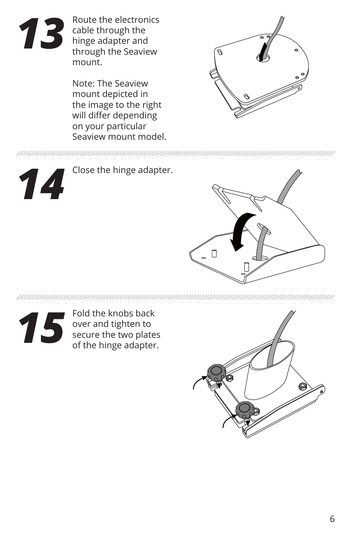

Route the electronics cable through the hinge adapter and through the Seaview mount.

Note: The Seaview mount depicted in the image to the right will differ depending on your particular Seaview mount model.



*14*

Close the hinge adapter.



nnunnunnunnunnun

Fold the knobs back over and tighten to secure the two plates Fold the knobs back<br>
over and tighten to<br>
secure the two plates<br>
of the hinge adapter.